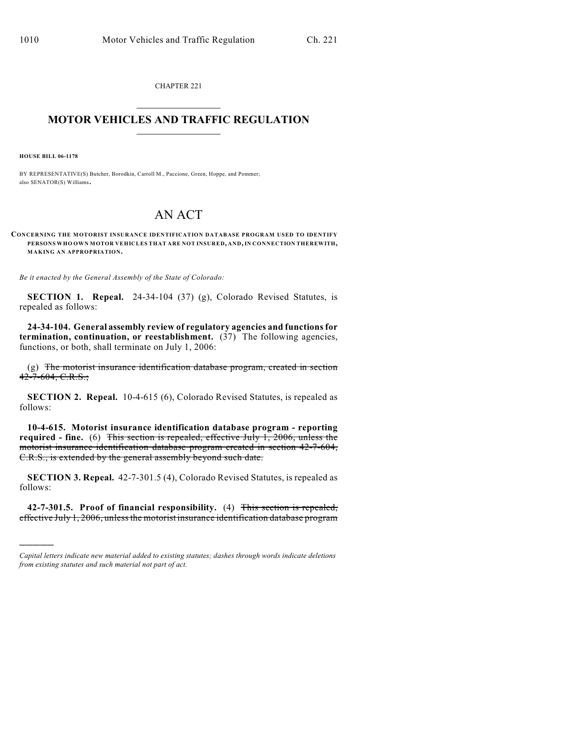CHAPTER 221  $\mathcal{L}_\text{max}$  . The set of the set of the set of the set of the set of the set of the set of the set of the set of the set of the set of the set of the set of the set of the set of the set of the set of the set of the set

## **MOTOR VEHICLES AND TRAFFIC REGULATION**  $\frac{1}{2}$  ,  $\frac{1}{2}$  ,  $\frac{1}{2}$  ,  $\frac{1}{2}$  ,  $\frac{1}{2}$  ,  $\frac{1}{2}$  ,  $\frac{1}{2}$

**HOUSE BILL 06-1178**

)))))

BY REPRESENTATIVE(S) Butcher, Borodkin, Carroll M., Paccione, Green, Hoppe, and Pommer; also SENATOR(S) Williams.

## AN ACT

**CONCERNING THE MOTORIST INSURANCE IDENTIFICATION DATABASE PROGRAM USED TO IDENTIFY PERSONS WHO OWN MOTOR VEHICLES THAT ARE NOT INSURED, AND, IN CONNECTION THEREWITH, MAKING AN APPROPRIATION.**

*Be it enacted by the General Assembly of the State of Colorado:*

**SECTION 1. Repeal.** 24-34-104 (37) (g), Colorado Revised Statutes, is repealed as follows:

**24-34-104. General assembly review of regulatory agencies and functions for termination, continuation, or reestablishment.** (37) The following agencies, functions, or both, shall terminate on July 1, 2006:

(g) The motorist insurance identification database program, created in section 42-7-604, C.R.S.;

**SECTION 2. Repeal.** 10-4-615 (6), Colorado Revised Statutes, is repealed as follows:

**10-4-615. Motorist insurance identification database program - reporting required - fine.** (6) This section is repealed, effective July 1, 2006, unless the motorist insurance identification database program created in section 42-7-604, C.R.S., is extended by the general assembly beyond such date.

**SECTION 3. Repeal.** 42-7-301.5 (4), Colorado Revised Statutes, is repealed as follows:

**42-7-301.5. Proof of financial responsibility.** (4) This section is repealed, effective July 1, 2006, unless the motorist insurance identification database program

*Capital letters indicate new material added to existing statutes; dashes through words indicate deletions from existing statutes and such material not part of act.*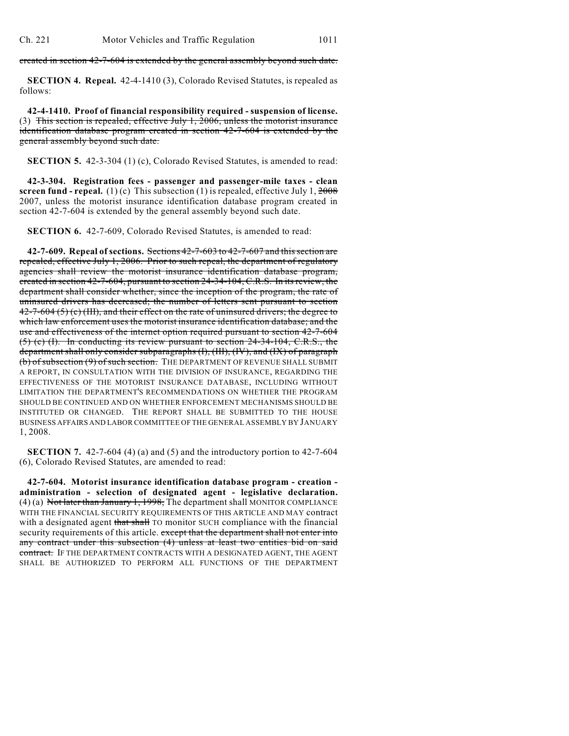created in section 42-7-604 is extended by the general assembly beyond such date.

**SECTION 4. Repeal.** 42-4-1410 (3), Colorado Revised Statutes, is repealed as follows:

**42-4-1410. Proof of financial responsibility required - suspension of license.** (3) This section is repealed, effective July 1, 2006, unless the motorist insurance identification database program created in section 42-7-604 is extended by the general assembly beyond such date.

**SECTION 5.** 42-3-304 (1) (c), Colorado Revised Statutes, is amended to read:

**42-3-304. Registration fees - passenger and passenger-mile taxes - clean screen fund - repeal.** (1) (c) This subsection (1) is repealed, effective July 1, 2008 2007, unless the motorist insurance identification database program created in section 42-7-604 is extended by the general assembly beyond such date.

**SECTION 6.** 42-7-609, Colorado Revised Statutes, is amended to read:

**42-7-609. Repeal of sections.** Sections 42-7-603 to 42-7-607 and this section are repealed, effective July 1, 2006. Prior to such repeal, the department of regulatory agencies shall review the motorist insurance identification database program, created in section 42-7-604, pursuant to section 24-34-104, C.R.S. In its review, the department shall consider whether, since the inception of the program, the rate of uninsured drivers has decreased; the number of letters sent pursuant to section  $42-7-604(5)$  (c) (III), and their effect on the rate of uninsured drivers; the degree to which law enforcement uses the motorist insurance identification database; and the use and effectiveness of the internet option required pursuant to section 42-7-604 (5) (c) (I). In conducting its review pursuant to section 24-34-104, C.R.S., the department shall only consider subparagraphs (I), (III), (IV), and (IX) of paragraph (b) of subsection (9) of such section. THE DEPARTMENT OF REVENUE SHALL SUBMIT A REPORT, IN CONSULTATION WITH THE DIVISION OF INSURANCE, REGARDING THE EFFECTIVENESS OF THE MOTORIST INSURANCE DATABASE, INCLUDING WITHOUT LIMITATION THE DEPARTMENT'S RECOMMENDATIONS ON WHETHER THE PROGRAM SHOULD BE CONTINUED AND ON WHETHER ENFORCEMENT MECHANISMS SHOULD BE INSTITUTED OR CHANGED. THE REPORT SHALL BE SUBMITTED TO THE HOUSE BUSINESS AFFAIRS AND LABOR COMMITTEE OF THE GENERAL ASSEMBLY BY JANUARY 1, 2008.

**SECTION 7.** 42-7-604 (4) (a) and (5) and the introductory portion to 42-7-604 (6), Colorado Revised Statutes, are amended to read:

**42-7-604. Motorist insurance identification database program - creation administration - selection of designated agent - legislative declaration.**  $(4)$  (a) Not later than January 1, 1998, The department shall MONITOR COMPLIANCE WITH THE FINANCIAL SECURITY REQUIREMENTS OF THIS ARTICLE AND MAY contract with a designated agent that shall TO monitor SUCH compliance with the financial security requirements of this article. except that the department shall not enter into any contract under this subsection (4) unless at least two entities bid on said contract. IF THE DEPARTMENT CONTRACTS WITH A DESIGNATED AGENT, THE AGENT SHALL BE AUTHORIZED TO PERFORM ALL FUNCTIONS OF THE DEPARTMENT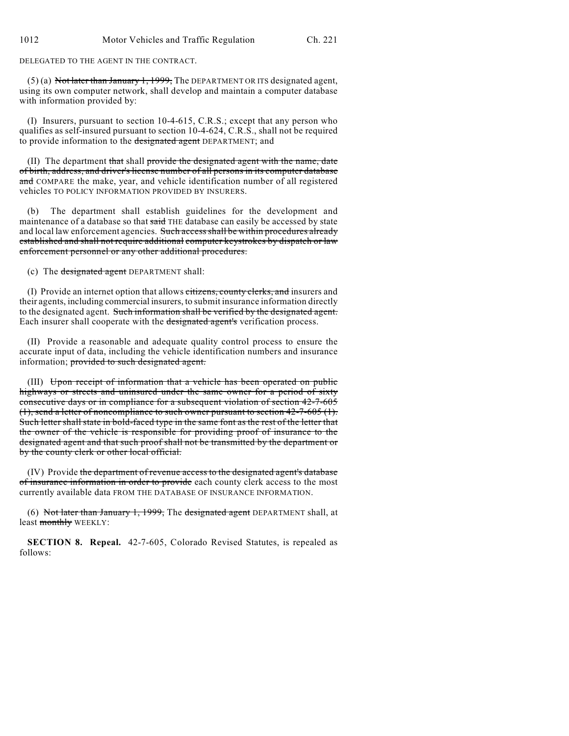DELEGATED TO THE AGENT IN THE CONTRACT.

 $(5)$  (a) Not later than January 1, 1999, The DEPARTMENT OR ITS designated agent, using its own computer network, shall develop and maintain a computer database with information provided by:

(I) Insurers, pursuant to section 10-4-615, C.R.S.; except that any person who qualifies as self-insured pursuant to section 10-4-624, C.R.S., shall not be required to provide information to the designated agent DEPARTMENT; and

(II) The department that shall provide the designated agent with the name, date of birth, address, and driver's license number of all persons in its computer database and COMPARE the make, year, and vehicle identification number of all registered vehicles TO POLICY INFORMATION PROVIDED BY INSURERS.

(b) The department shall establish guidelines for the development and maintenance of a database so that said THE database can easily be accessed by state and local law enforcement agencies. Such access shall be within procedures already established and shall not require additional computer keystrokes by dispatch or law enforcement personnel or any other additional procedures.

(c) The designated agent DEPARTMENT shall:

(I) Provide an internet option that allows citizens, county clerks, and insurers and their agents, including commercial insurers, to submit insurance information directly to the designated agent. Such information shall be verified by the designated agent. Each insurer shall cooperate with the designated agent's verification process.

(II) Provide a reasonable and adequate quality control process to ensure the accurate input of data, including the vehicle identification numbers and insurance information; provided to such designated agent.

(III) Upon receipt of information that a vehicle has been operated on public highways or streets and uninsured under the same owner for a period of sixty consecutive days or in compliance for a subsequent violation of section 42-7-605 (1), send a letter of noncompliance to such owner pursuant to section 42-7-605 (1). Such letter shall state in bold-faced type in the same font as the rest of the letter that the owner of the vehicle is responsible for providing proof of insurance to the designated agent and that such proof shall not be transmitted by the department or by the county clerk or other local official.

(IV) Provide the department of revenue access to the designated agent's database of insurance information in order to provide each county clerk access to the most currently available data FROM THE DATABASE OF INSURANCE INFORMATION.

(6) Not later than January 1, 1999, The designated agent DEPARTMENT shall, at least monthly WEEKLY:

**SECTION 8. Repeal.** 42-7-605, Colorado Revised Statutes, is repealed as follows: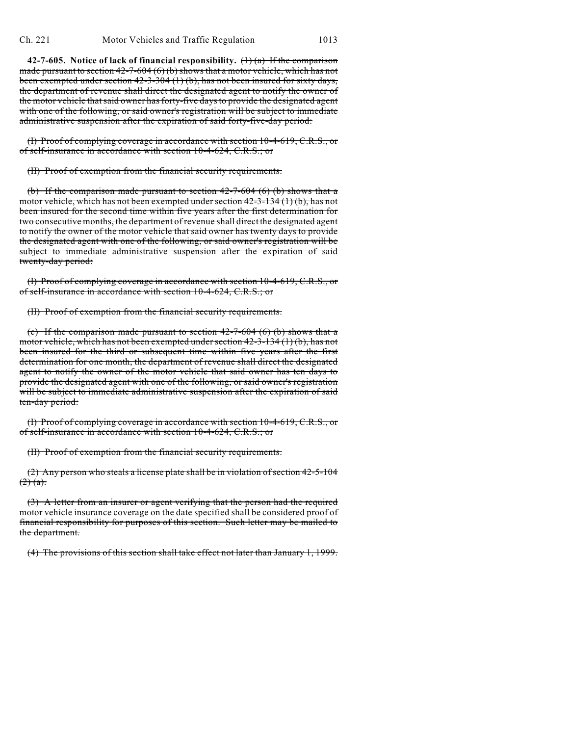**42-7-605. Notice of lack of financial responsibility.** (1) (a) If the comparison made pursuant to section  $42-7-604(6)(b)$  shows that a motor vehicle, which has not been exempted under section 42-3-304 (1) (b), has not been insured for sixty days, the department of revenue shall direct the designated agent to notify the owner of the motor vehicle that said owner has forty-five days to provide the designated agent with one of the following, or said owner's registration will be subject to immediate administrative suspension after the expiration of said forty-five-day period:

(I) Proof of complying coverage in accordance with section 10-4-619, C.R.S., or of self-insurance in accordance with section 10-4-624, C.R.S.; or

(II) Proof of exemption from the financial security requirements.

(b) If the comparison made pursuant to section  $42-7-604$  (6) (b) shows that a motor vehicle, which has not been exempted under section  $42-3-134$  (1) (b), has not been insured for the second time within five years after the first determination for two consecutive months, the department of revenue shall direct the designated agent to notify the owner of the motor vehicle that said owner has twenty days to provide the designated agent with one of the following, or said owner's registration will be subject to immediate administrative suspension after the expiration of said twenty-day period:

(I) Proof of complying coverage in accordance with section 10-4-619, C.R.S., or of self-insurance in accordance with section 10-4-624, C.R.S.; or

(II) Proof of exemption from the financial security requirements.

(c) If the comparison made pursuant to section  $42-7-604$  (6) (b) shows that a motor vehicle, which has not been exempted under section 42-3-134 (1) (b), has not been insured for the third or subsequent time within five years after the first determination for one month, the department of revenue shall direct the designated agent to notify the owner of the motor vehicle that said owner has ten days to provide the designated agent with one of the following, or said owner's registration will be subject to immediate administrative suspension after the expiration of said ten-day period:

(I) Proof of complying coverage in accordance with section 10-4-619, C.R.S., or of self-insurance in accordance with section 10-4-624, C.R.S.; or

(II) Proof of exemption from the financial security requirements.

(2) Any person who steals a license plate shall be in violation of section 42-5-104  $(2)$   $(a)$ .

(3) A letter from an insurer or agent verifying that the person had the required motor vehicle insurance coverage on the date specified shall be considered proof of financial responsibility for purposes of this section. Such letter may be mailed to the department.

(4) The provisions of this section shall take effect not later than January 1, 1999.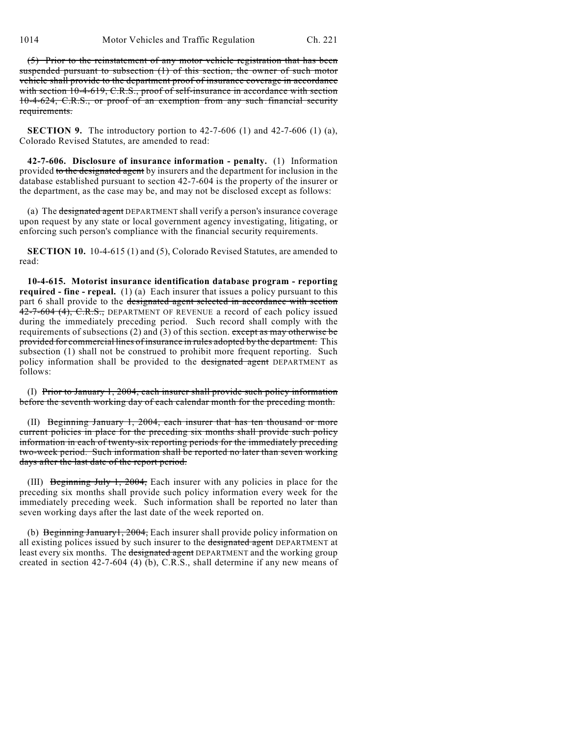(5) Prior to the reinstatement of any motor vehicle registration that has been suspended pursuant to subsection (1) of this section, the owner of such motor vehicle shall provide to the department proof of insurance coverage in accordance with section 10-4-619, C.R.S., proof of self-insurance in accordance with section 10-4-624, C.R.S., or proof of an exemption from any such financial security requirements.

**SECTION 9.** The introductory portion to 42-7-606 (1) and 42-7-606 (1) (a), Colorado Revised Statutes, are amended to read:

**42-7-606. Disclosure of insurance information - penalty.** (1) Information provided to the designated agent by insurers and the department for inclusion in the database established pursuant to section 42-7-604 is the property of the insurer or the department, as the case may be, and may not be disclosed except as follows:

(a) The designated agent DEPARTMENT shall verify a person's insurance coverage upon request by any state or local government agency investigating, litigating, or enforcing such person's compliance with the financial security requirements.

**SECTION 10.** 10-4-615 (1) and (5), Colorado Revised Statutes, are amended to read:

**10-4-615. Motorist insurance identification database program - reporting required - fine - repeal.** (1) (a) Each insurer that issues a policy pursuant to this part 6 shall provide to the designated agent selected in accordance with section 42-7-604 (4), C.R.S., DEPARTMENT OF REVENUE a record of each policy issued during the immediately preceding period. Such record shall comply with the requirements of subsections (2) and (3) of this section.  $\overline{except}$  as may otherwise be provided for commercial lines of insurance in rules adopted by the department. This subsection (1) shall not be construed to prohibit more frequent reporting. Such policy information shall be provided to the designated agent DEPARTMENT as follows:

(I) Prior to January 1, 2004, each insurer shall provide such policy information before the seventh working day of each calendar month for the preceding month.

(II) Beginning January 1, 2004, each insurer that has ten thousand or more current policies in place for the preceding six months shall provide such policy information in each of twenty-six reporting periods for the immediately preceding two-week period. Such information shall be reported no later than seven working days after the last date of the report period.

(III) Beginning July 1, 2004, Each insurer with any policies in place for the preceding six months shall provide such policy information every week for the immediately preceding week. Such information shall be reported no later than seven working days after the last date of the week reported on.

(b) Beginning January1, 2004, Each insurer shall provide policy information on all existing polices issued by such insurer to the designated agent DEPARTMENT at least every six months. The designated agent DEPARTMENT and the working group created in section 42-7-604 (4) (b), C.R.S., shall determine if any new means of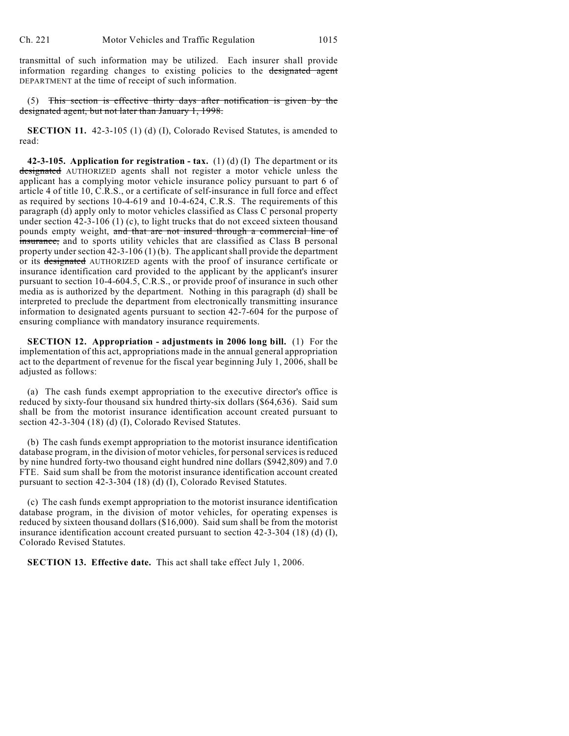transmittal of such information may be utilized. Each insurer shall provide information regarding changes to existing policies to the designated agent DEPARTMENT at the time of receipt of such information.

(5) This section is effective thirty days after notification is given by the designated agent, but not later than January 1, 1998.

**SECTION 11.** 42-3-105 (1) (d) (I), Colorado Revised Statutes, is amended to read:

**42-3-105. Application for registration - tax.** (1) (d) (I) The department or its designated AUTHORIZED agents shall not register a motor vehicle unless the applicant has a complying motor vehicle insurance policy pursuant to part 6 of article 4 of title 10, C.R.S., or a certificate of self-insurance in full force and effect as required by sections 10-4-619 and 10-4-624, C.R.S. The requirements of this paragraph (d) apply only to motor vehicles classified as Class C personal property under section 42-3-106 (1) (c), to light trucks that do not exceed sixteen thousand pounds empty weight, and that are not insured through a commercial line of insurance, and to sports utility vehicles that are classified as Class B personal property under section  $42-3-106(1)$  (b). The applicant shall provide the department or its designated AUTHORIZED agents with the proof of insurance certificate or insurance identification card provided to the applicant by the applicant's insurer pursuant to section 10-4-604.5, C.R.S., or provide proof of insurance in such other media as is authorized by the department. Nothing in this paragraph (d) shall be interpreted to preclude the department from electronically transmitting insurance information to designated agents pursuant to section 42-7-604 for the purpose of ensuring compliance with mandatory insurance requirements.

**SECTION 12. Appropriation - adjustments in 2006 long bill.** (1) For the implementation of this act, appropriations made in the annual general appropriation act to the department of revenue for the fiscal year beginning July 1, 2006, shall be adjusted as follows:

(a) The cash funds exempt appropriation to the executive director's office is reduced by sixty-four thousand six hundred thirty-six dollars (\$64,636). Said sum shall be from the motorist insurance identification account created pursuant to section 42-3-304 (18) (d) (I), Colorado Revised Statutes.

(b) The cash funds exempt appropriation to the motorist insurance identification database program, in the division of motor vehicles, for personal services is reduced by nine hundred forty-two thousand eight hundred nine dollars (\$942,809) and 7.0 FTE. Said sum shall be from the motorist insurance identification account created pursuant to section 42-3-304 (18) (d) (I), Colorado Revised Statutes.

(c) The cash funds exempt appropriation to the motorist insurance identification database program, in the division of motor vehicles, for operating expenses is reduced by sixteen thousand dollars (\$16,000). Said sum shall be from the motorist insurance identification account created pursuant to section 42-3-304 (18) (d) (I), Colorado Revised Statutes.

**SECTION 13. Effective date.** This act shall take effect July 1, 2006.